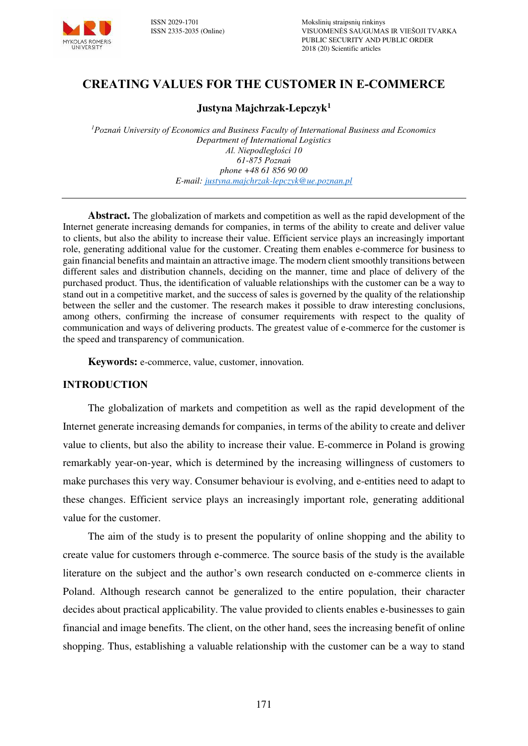

# **CREATING VALUES FOR THE CUSTOMER IN E-COMMERCE**

#### **Justyna Majchrzak-Lepczyk<sup>1</sup>**

*<sup>1</sup>Poznań University of Economics and Business Faculty of International Business and Economics Department of International Logistics Al. Niepodległości 10 61-875 Poznań phone +48 61 856 90 00 E-mail: [justyna.majchrzak-lepczyk@ue.poznan.pl](mailto:justyna.majchrzak-lepczyk@ue.poznan.pl)* 

**Abstract.** The globalization of markets and competition as well as the rapid development of the Internet generate increasing demands for companies, in terms of the ability to create and deliver value to clients, but also the ability to increase their value. Efficient service plays an increasingly important role, generating additional value for the customer. Creating them enables e-commerce for business to gain financial benefits and maintain an attractive image. The modern client smoothly transitions between different sales and distribution channels, deciding on the manner, time and place of delivery of the purchased product. Thus, the identification of valuable relationships with the customer can be a way to stand out in a competitive market, and the success of sales is governed by the quality of the relationship between the seller and the customer. The research makes it possible to draw interesting conclusions, among others, confirming the increase of consumer requirements with respect to the quality of communication and ways of delivering products. The greatest value of e-commerce for the customer is the speed and transparency of communication.

**Keywords:** e-commerce, value, customer, innovation.

#### **INTRODUCTION**

The globalization of markets and competition as well as the rapid development of the Internet generate increasing demands for companies, in terms of the ability to create and deliver value to clients, but also the ability to increase their value. E-commerce in Poland is growing remarkably year-on-year, which is determined by the increasing willingness of customers to make purchases this very way. Consumer behaviour is evolving, and e-entities need to adapt to these changes. Efficient service plays an increasingly important role, generating additional value for the customer.

The aim of the study is to present the popularity of online shopping and the ability to create value for customers through e-commerce. The source basis of the study is the available literature on the subject and the author's own research conducted on e-commerce clients in Poland. Although research cannot be generalized to the entire population, their character decides about practical applicability. The value provided to clients enables e-businesses to gain financial and image benefits. The client, on the other hand, sees the increasing benefit of online shopping. Thus, establishing a valuable relationship with the customer can be a way to stand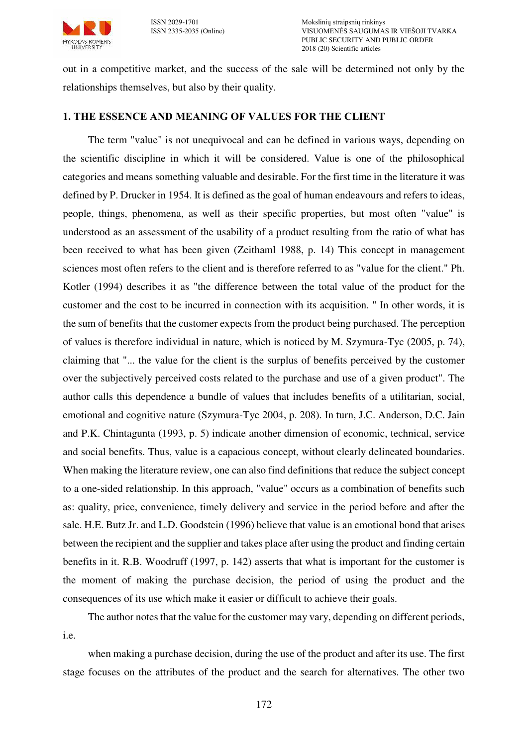

out in a competitive market, and the success of the sale will be determined not only by the relationships themselves, but also by their quality.

### **1. THE ESSENCE AND MEANING OF VALUES FOR THE CLIENT**

The term "value" is not unequivocal and can be defined in various ways, depending on the scientific discipline in which it will be considered. Value is one of the philosophical categories and means something valuable and desirable. For the first time in the literature it was defined by P. Drucker in 1954. It is defined as the goal of human endeavours and refers to ideas, people, things, phenomena, as well as their specific properties, but most often "value" is understood as an assessment of the usability of a product resulting from the ratio of what has been received to what has been given (Zeithaml 1988, p. 14) This concept in management sciences most often refers to the client and is therefore referred to as "value for the client." Ph. Kotler (1994) describes it as "the difference between the total value of the product for the customer and the cost to be incurred in connection with its acquisition. " In other words, it is the sum of benefits that the customer expects from the product being purchased. The perception of values is therefore individual in nature, which is noticed by M. Szymura-Tyc (2005, p. 74), claiming that "... the value for the client is the surplus of benefits perceived by the customer over the subjectively perceived costs related to the purchase and use of a given product". The author calls this dependence a bundle of values that includes benefits of a utilitarian, social, emotional and cognitive nature (Szymura-Tyc 2004, p. 208). In turn, J.C. Anderson, D.C. Jain and P.K. Chintagunta (1993, p. 5) indicate another dimension of economic, technical, service and social benefits. Thus, value is a capacious concept, without clearly delineated boundaries. When making the literature review, one can also find definitions that reduce the subject concept to a one-sided relationship. In this approach, "value" occurs as a combination of benefits such as: quality, price, convenience, timely delivery and service in the period before and after the sale. H.E. Butz Jr. and L.D. Goodstein (1996) believe that value is an emotional bond that arises between the recipient and the supplier and takes place after using the product and finding certain benefits in it. R.B. Woodruff (1997, p. 142) asserts that what is important for the customer is the moment of making the purchase decision, the period of using the product and the consequences of its use which make it easier or difficult to achieve their goals.

The author notes that the value for the customer may vary, depending on different periods, i.e.

when making a purchase decision, during the use of the product and after its use. The first stage focuses on the attributes of the product and the search for alternatives. The other two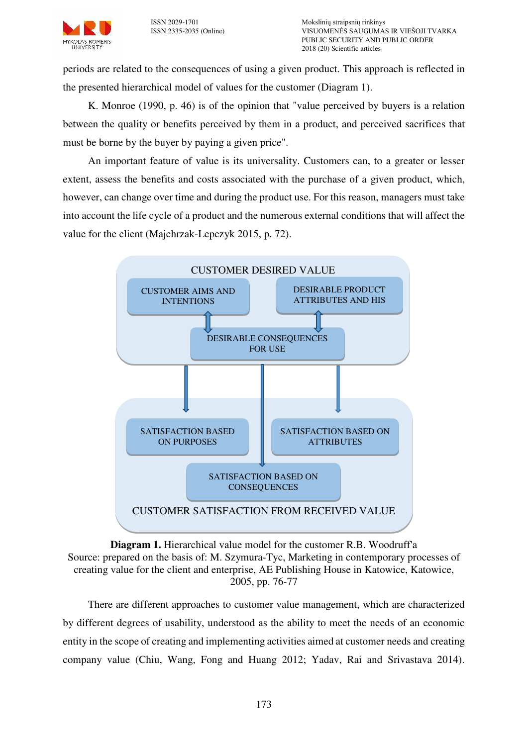

periods are related to the consequences of using a given product. This approach is reflected in the presented hierarchical model of values for the customer (Diagram 1).

K. Monroe (1990, p. 46) is of the opinion that "value perceived by buyers is a relation between the quality or benefits perceived by them in a product, and perceived sacrifices that must be borne by the buyer by paying a given price".

An important feature of value is its universality. Customers can, to a greater or lesser extent, assess the benefits and costs associated with the purchase of a given product, which, however, can change over time and during the product use. For this reason, managers must take into account the life cycle of a product and the numerous external conditions that will affect the value for the client (Majchrzak-Lepczyk 2015, p. 72).



**Diagram 1.** Hierarchical value model for the customer R.B. Woodruff'a Source: prepared on the basis of: M. Szymura-Tyc, Marketing in contemporary processes of creating value for the client and enterprise, AE Publishing House in Katowice, Katowice, 2005, pp. 76-77

There are different approaches to customer value management, which are characterized by different degrees of usability, understood as the ability to meet the needs of an economic entity in the scope of creating and implementing activities aimed at customer needs and creating company value (Chiu, Wang, Fong and Huang 2012; Yadav, Rai and Srivastava 2014).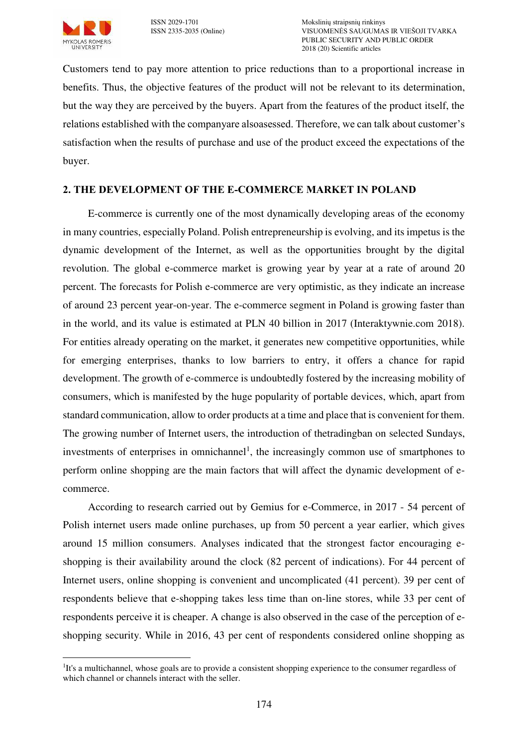

Customers tend to pay more attention to price reductions than to a proportional increase in benefits. Thus, the objective features of the product will not be relevant to its determination, but the way they are perceived by the buyers. Apart from the features of the product itself, the relations established with the companyare alsoasessed. Therefore, we can talk about customer's satisfaction when the results of purchase and use of the product exceed the expectations of the buyer.

## **2. THE DEVELOPMENT OF THE E-COMMERCE MARKET IN POLAND**

E-commerce is currently one of the most dynamically developing areas of the economy in many countries, especially Poland. Polish entrepreneurship is evolving, and its impetus is the dynamic development of the Internet, as well as the opportunities brought by the digital revolution. The global e-commerce market is growing year by year at a rate of around 20 percent. The forecasts for Polish e-commerce are very optimistic, as they indicate an increase of around 23 percent year-on-year. The e-commerce segment in Poland is growing faster than in the world, and its value is estimated at PLN 40 billion in 2017 (Interaktywnie.com 2018). For entities already operating on the market, it generates new competitive opportunities, while for emerging enterprises, thanks to low barriers to entry, it offers a chance for rapid development. The growth of e-commerce is undoubtedly fostered by the increasing mobility of consumers, which is manifested by the huge popularity of portable devices, which, apart from standard communication, allow to order products at a time and place that is convenient for them. The growing number of Internet users, the introduction of thetradingban on selected Sundays, investments of enterprises in omnichannel<sup>1</sup>, the increasingly common use of smartphones to perform online shopping are the main factors that will affect the dynamic development of ecommerce.

According to research carried out by Gemius for e-Commerce, in 2017 - 54 percent of Polish internet users made online purchases, up from 50 percent a year earlier, which gives around 15 million consumers. Analyses indicated that the strongest factor encouraging eshopping is their availability around the clock (82 percent of indications). For 44 percent of Internet users, online shopping is convenient and uncomplicated (41 percent). 39 per cent of respondents believe that e-shopping takes less time than on-line stores, while 33 per cent of respondents perceive it is cheaper. A change is also observed in the case of the perception of eshopping security. While in 2016, 43 per cent of respondents considered online shopping as

 $\overline{a}$ <sup>1</sup>It's a multichannel, whose goals are to provide a consistent shopping experience to the consumer regardless of which channel or channels interact with the seller.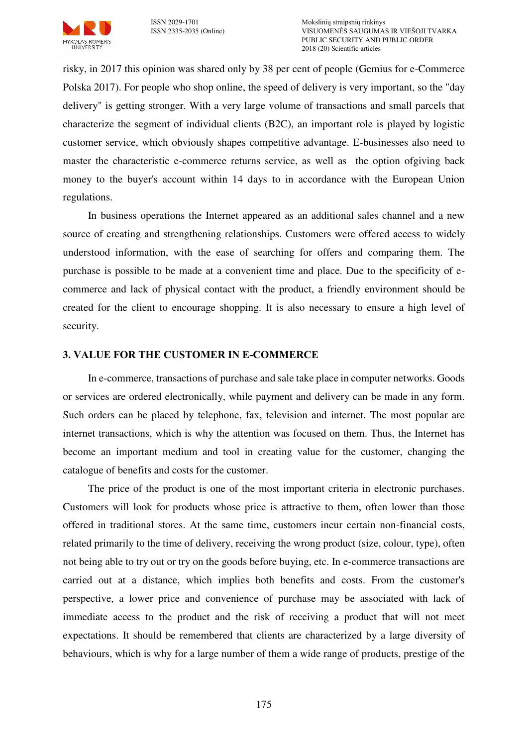

risky, in 2017 this opinion was shared only by 38 per cent of people (Gemius for e-Commerce Polska 2017). For people who shop online, the speed of delivery is very important, so the "day delivery" is getting stronger. With a very large volume of transactions and small parcels that characterize the segment of individual clients (B2C), an important role is played by logistic customer service, which obviously shapes competitive advantage. E-businesses also need to master the characteristic e-commerce returns service, as well as the option ofgiving back money to the buyer's account within 14 days to in accordance with the European Union regulations.

In business operations the Internet appeared as an additional sales channel and a new source of creating and strengthening relationships. Customers were offered access to widely understood information, with the ease of searching for offers and comparing them. The purchase is possible to be made at a convenient time and place. Due to the specificity of ecommerce and lack of physical contact with the product, a friendly environment should be created for the client to encourage shopping. It is also necessary to ensure a high level of security.

### **3. VALUE FOR THE CUSTOMER IN E-COMMERCE**

In e-commerce, transactions of purchase and sale take place in computer networks. Goods or services are ordered electronically, while payment and delivery can be made in any form. Such orders can be placed by telephone, fax, television and internet. The most popular are internet transactions, which is why the attention was focused on them. Thus, the Internet has become an important medium and tool in creating value for the customer, changing the catalogue of benefits and costs for the customer.

The price of the product is one of the most important criteria in electronic purchases. Customers will look for products whose price is attractive to them, often lower than those offered in traditional stores. At the same time, customers incur certain non-financial costs, related primarily to the time of delivery, receiving the wrong product (size, colour, type), often not being able to try out or try on the goods before buying, etc. In e-commerce transactions are carried out at a distance, which implies both benefits and costs. From the customer's perspective, a lower price and convenience of purchase may be associated with lack of immediate access to the product and the risk of receiving a product that will not meet expectations. It should be remembered that clients are characterized by a large diversity of behaviours, which is why for a large number of them a wide range of products, prestige of the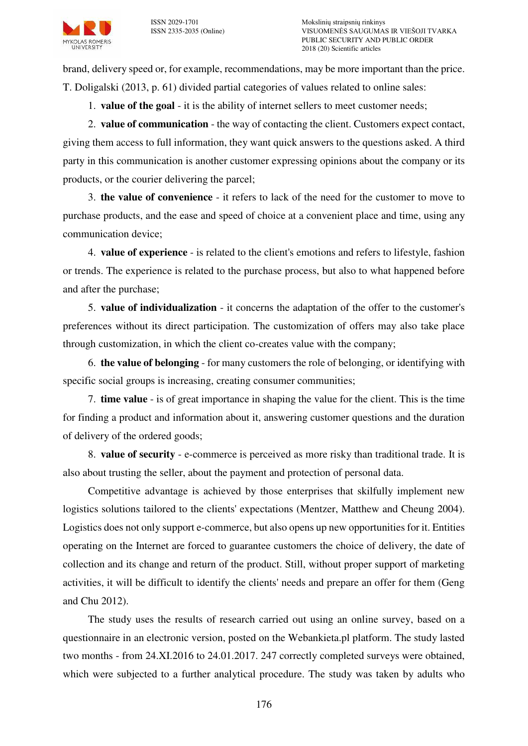brand, delivery speed or, for example, recommendations, may be more important than the price. T. Doligalski (2013, p. 61) divided partial categories of values related to online sales:

1. **value of the goal** - it is the ability of internet sellers to meet customer needs;

2. **value of communication** - the way of contacting the client. Customers expect contact, giving them access to full information, they want quick answers to the questions asked. A third party in this communication is another customer expressing opinions about the company or its products, or the courier delivering the parcel;

3. **the value of convenience** - it refers to lack of the need for the customer to move to purchase products, and the ease and speed of choice at a convenient place and time, using any communication device;

4. **value of experience** - is related to the client's emotions and refers to lifestyle, fashion or trends. The experience is related to the purchase process, but also to what happened before and after the purchase;

5. **value of individualization** - it concerns the adaptation of the offer to the customer's preferences without its direct participation. The customization of offers may also take place through customization, in which the client co-creates value with the company;

6. **the value of belonging** - for many customers the role of belonging, or identifying with specific social groups is increasing, creating consumer communities;

7. **time value** - is of great importance in shaping the value for the client. This is the time for finding a product and information about it, answering customer questions and the duration of delivery of the ordered goods;

8. **value of security** - e-commerce is perceived as more risky than traditional trade. It is also about trusting the seller, about the payment and protection of personal data.

Competitive advantage is achieved by those enterprises that skilfully implement new logistics solutions tailored to the clients' expectations (Mentzer, Matthew and Cheung 2004). Logistics does not only support e-commerce, but also opens up new opportunities for it. Entities operating on the Internet are forced to guarantee customers the choice of delivery, the date of collection and its change and return of the product. Still, without proper support of marketing activities, it will be difficult to identify the clients' needs and prepare an offer for them (Geng and Chu 2012).

The study uses the results of research carried out using an online survey, based on a questionnaire in an electronic version, posted on the Webankieta.pl platform. The study lasted two months - from 24.XI.2016 to 24.01.2017. 247 correctly completed surveys were obtained, which were subjected to a further analytical procedure. The study was taken by adults who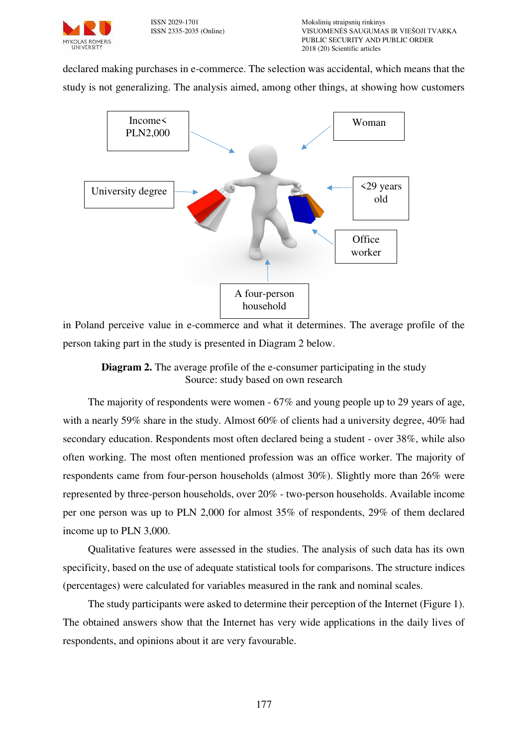

declared making purchases in e-commerce. The selection was accidental, which means that the study is not generalizing. The analysis aimed, among other things, at showing how customers



in Poland perceive value in e-commerce and what it determines. The average profile of the person taking part in the study is presented in Diagram 2 below.



The majority of respondents were women - 67% and young people up to 29 years of age, with a nearly 59% share in the study. Almost 60% of clients had a university degree, 40% had secondary education. Respondents most often declared being a student - over 38%, while also often working. The most often mentioned profession was an office worker. The majority of respondents came from four-person households (almost 30%). Slightly more than 26% were represented by three-person households, over 20% - two-person households. Available income per one person was up to PLN 2,000 for almost 35% of respondents, 29% of them declared income up to PLN 3,000.

Qualitative features were assessed in the studies. The analysis of such data has its own specificity, based on the use of adequate statistical tools for comparisons. The structure indices (percentages) were calculated for variables measured in the rank and nominal scales.

The study participants were asked to determine their perception of the Internet (Figure 1). The obtained answers show that the Internet has very wide applications in the daily lives of respondents, and opinions about it are very favourable.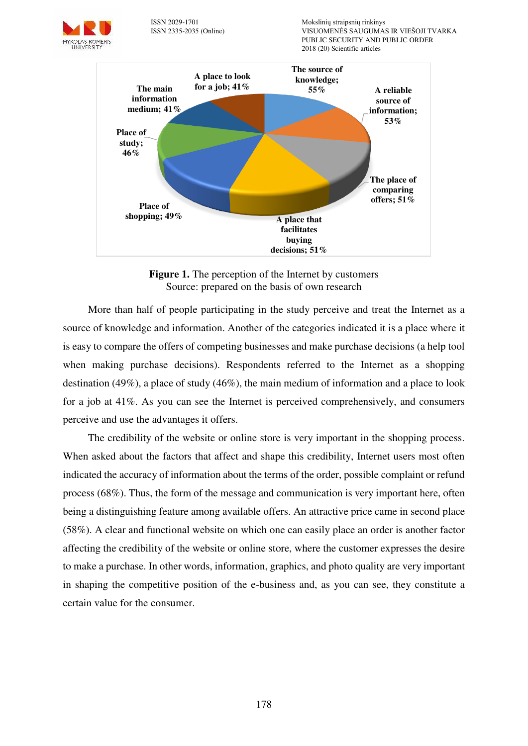

ISSN 2029-1701 Mokslinių straipsnių rinkinys VISUOMENĖS SAUGUMAS IR VIEŠOJI TVARKA PUBLIC SECURITY AND PUBLIC ORDER 2018 (20) Scientific articles



**Figure 1.** The perception of the Internet by customers Source: prepared on the basis of own research

More than half of people participating in the study perceive and treat the Internet as a source of knowledge and information. Another of the categories indicated it is a place where it is easy to compare the offers of competing businesses and make purchase decisions (a help tool when making purchase decisions). Respondents referred to the Internet as a shopping destination (49%), a place of study (46%), the main medium of information and a place to look for a job at 41%. As you can see the Internet is perceived comprehensively, and consumers perceive and use the advantages it offers.

The credibility of the website or online store is very important in the shopping process. When asked about the factors that affect and shape this credibility, Internet users most often indicated the accuracy of information about the terms of the order, possible complaint or refund process (68%). Thus, the form of the message and communication is very important here, often being a distinguishing feature among available offers. An attractive price came in second place (58%). A clear and functional website on which one can easily place an order is another factor affecting the credibility of the website or online store, where the customer expresses the desire to make a purchase. In other words, information, graphics, and photo quality are very important in shaping the competitive position of the e-business and, as you can see, they constitute a certain value for the consumer.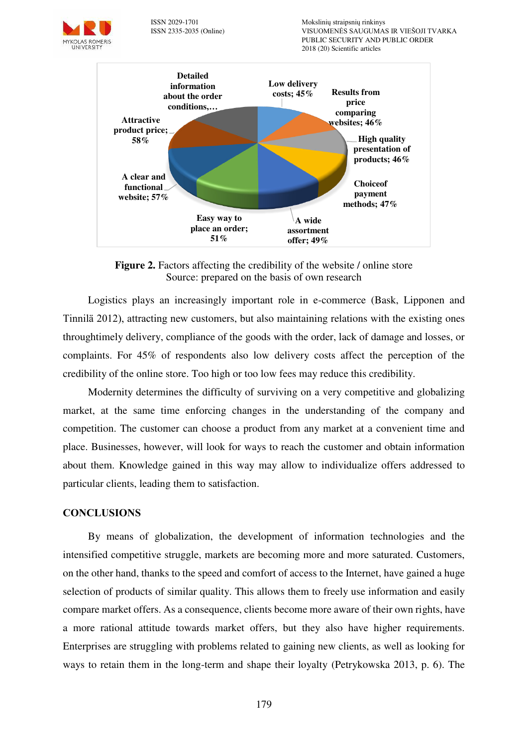

ISSN 2029-1701 Mokslinių straipsnių rinkinys VISUOMENĖS SAUGUMAS IR VIEŠOJI TVARKA PUBLIC SECURITY AND PUBLIC ORDER 2018 (20) Scientific articles



**Figure 2.** Factors affecting the credibility of the website */* online store Source: prepared on the basis of own research

Logistics plays an increasingly important role in e-commerce (Bask, Lipponen and Tinnilä 2012), attracting new customers, but also maintaining relations with the existing ones throughtimely delivery, compliance of the goods with the order, lack of damage and losses, or complaints. For 45% of respondents also low delivery costs affect the perception of the credibility of the online store. Too high or too low fees may reduce this credibility.

Modernity determines the difficulty of surviving on a very competitive and globalizing market, at the same time enforcing changes in the understanding of the company and competition. The customer can choose a product from any market at a convenient time and place. Businesses, however, will look for ways to reach the customer and obtain information about them. Knowledge gained in this way may allow to individualize offers addressed to particular clients, leading them to satisfaction.

#### **CONCLUSIONS**

By means of globalization, the development of information technologies and the intensified competitive struggle, markets are becoming more and more saturated. Customers, on the other hand, thanks to the speed and comfort of access to the Internet, have gained a huge selection of products of similar quality. This allows them to freely use information and easily compare market offers. As a consequence, clients become more aware of their own rights, have a more rational attitude towards market offers, but they also have higher requirements. Enterprises are struggling with problems related to gaining new clients, as well as looking for ways to retain them in the long-term and shape their loyalty (Petrykowska 2013, p. 6). The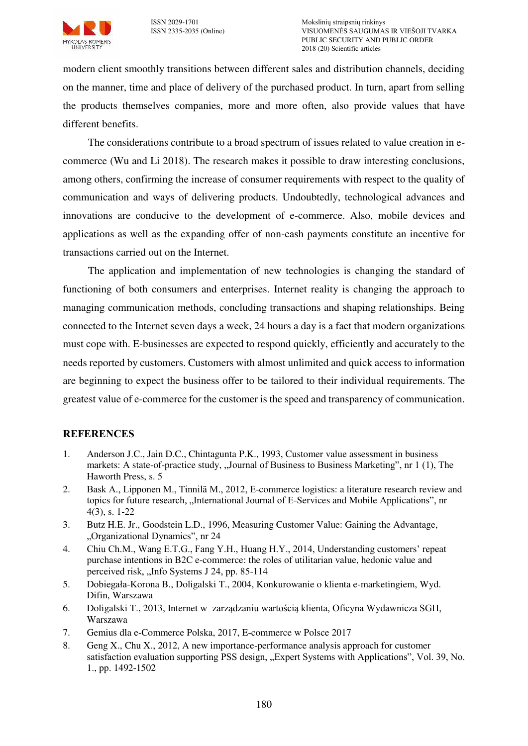

modern client smoothly transitions between different sales and distribution channels, deciding on the manner, time and place of delivery of the purchased product. In turn, apart from selling the products themselves companies, more and more often, also provide values that have different benefits.

The considerations contribute to a broad spectrum of issues related to value creation in ecommerce (Wu and Li 2018). The research makes it possible to draw interesting conclusions, among others, confirming the increase of consumer requirements with respect to the quality of communication and ways of delivering products. Undoubtedly, technological advances and innovations are conducive to the development of e-commerce. Also, mobile devices and applications as well as the expanding offer of non-cash payments constitute an incentive for transactions carried out on the Internet.

The application and implementation of new technologies is changing the standard of functioning of both consumers and enterprises. Internet reality is changing the approach to managing communication methods, concluding transactions and shaping relationships. Being connected to the Internet seven days a week, 24 hours a day is a fact that modern organizations must cope with. E-businesses are expected to respond quickly, efficiently and accurately to the needs reported by customers. Customers with almost unlimited and quick access to information are beginning to expect the business offer to be tailored to their individual requirements. The greatest value of e-commerce for the customer is the speed and transparency of communication.

## **REFERENCES**

- 1. Anderson J.C., Jain D.C., Chintagunta P.K., 1993, Customer value assessment in business markets: A state-of-practice study, "Journal of Business to Business Marketing", nr 1 (1), The Haworth Press, s. 5
- 2. Bask A., Lipponen M., Tinnilä M., 2012, E-commerce logistics: a literature research review and topics for future research, "International Journal of E-Services and Mobile Applications", nr 4(3), s. 1-22
- 3. Butz H.E. Jr., Goodstein L.D., 1996, Measuring Customer Value: Gaining the Advantage, "Organizational Dynamics", nr 24
- 4. Chiu Ch.M., Wang E.T.G., Fang Y.H., Huang H.Y., 2014, Understanding customers' repeat purchase intentions in B2C e-commerce: the roles of utilitarian value, hedonic value and perceived risk, "Info Systems J 24, pp. 85-114
- 5. Dobiegała-Korona B., Doligalski T., 2004, Konkurowanie o klienta e-marketingiem, Wyd. Difin, Warszawa
- 6. Doligalski T., 2013, Internet w zarządzaniu wartością klienta, Oficyna Wydawnicza SGH, Warszawa
- 7. Gemius dla e-Commerce Polska, 2017, E-commerce w Polsce 2017
- 8. Geng X., Chu X., 2012, A new importance-performance analysis approach for customer satisfaction evaluation supporting PSS design, "Expert Systems with Applications", Vol. 39, No. 1., pp. 1492-1502